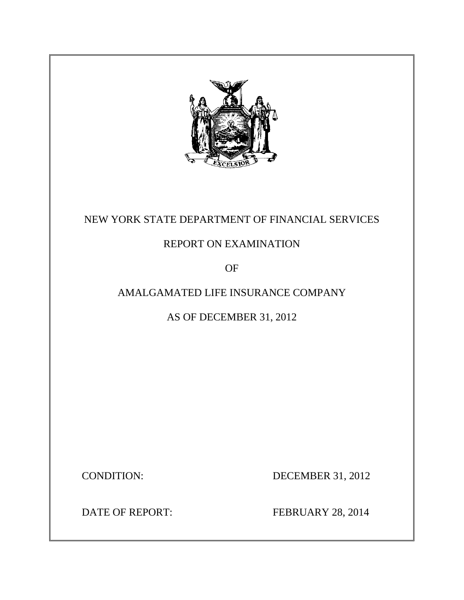

## NEW YORK STATE DEPARTMENT OF FINANCIAL SERVICES

### REPORT ON EXAMINATION

OF

### AMALGAMATED LIFE INSURANCE COMPANY

AS OF DECEMBER 31, 2012

**DECEMBER 31, 2012** 

CONDITION: DECEMBER 31, 2012<br>DATE OF REPORT: FEBRUARY 28, 2014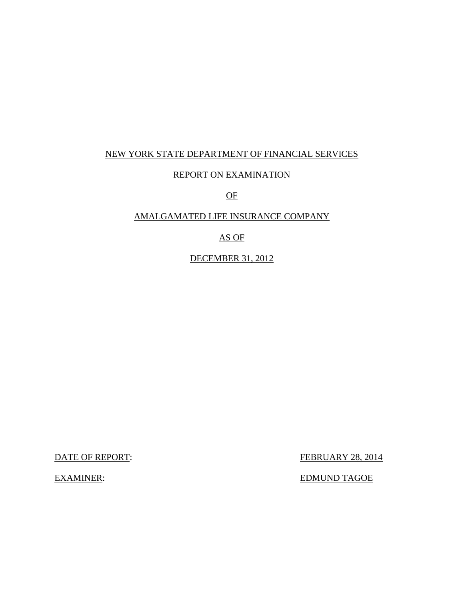### NEW YORK STATE DEPARTMENT OF FINANCIAL SERVICES

#### REPORT ON EXAMINATION

OF

### AMALGAMATED LIFE INSURANCE COMPANY

### AS OF

#### DECEMBER 31, 2012

DATE OF REPORT:

**EXAMINER:** 

FEBRUARY 28, 2014

EDMUND TAGOE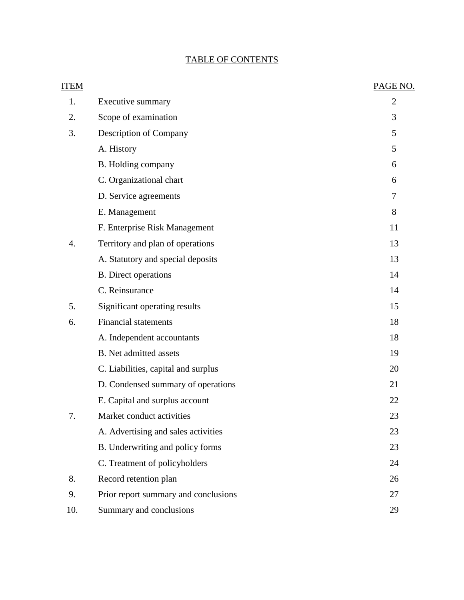### TABLE OF CONTENTS

| <b>ITEM</b> |                                      | PAGE NO.       |
|-------------|--------------------------------------|----------------|
| 1.          | Executive summary                    | $\overline{2}$ |
| 2.          | Scope of examination                 | 3              |
| 3.          | Description of Company               | 5              |
|             | A. History                           | 5              |
|             | B. Holding company                   | 6              |
|             | C. Organizational chart              | 6              |
|             | D. Service agreements                | 7              |
|             | E. Management                        | 8              |
|             | F. Enterprise Risk Management        | 11             |
| 4.          | Territory and plan of operations     | 13             |
|             | A. Statutory and special deposits    | 13             |
|             | <b>B.</b> Direct operations          | 14             |
|             | C. Reinsurance                       | 14             |
| 5.          | Significant operating results        | 15             |
| 6.          | <b>Financial statements</b>          | 18             |
|             | A. Independent accountants           | 18             |
|             | B. Net admitted assets               | 19             |
|             | C. Liabilities, capital and surplus  | 20             |
|             | D. Condensed summary of operations   | 21             |
|             | E. Capital and surplus account       | 22             |
| 7           | Market conduct activities            | 23             |
|             | A. Advertising and sales activities  | 23             |
|             | B. Underwriting and policy forms     | 23             |
|             | C. Treatment of policyholders        | 24             |
| 8.          | Record retention plan                | 26             |
| 9.          | Prior report summary and conclusions | 27             |
| 10.         | Summary and conclusions              | 29             |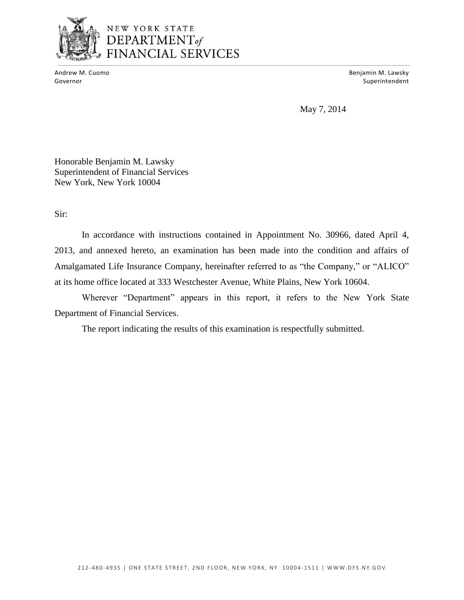

# NEW YORK STATE **DEPARTMENT**<br> **DEPARTMENT**<sub>of</sub><br>
FINANCIAL SERVICES

Andrew M. Cuomo

Benjamin M. Lawsky Governor Superintendent and Superintendent and Superintendent and Superintendent and Superintendent and Superintendent and Superintendent and Superintendent and Superintendent and Superintendent and Superintendent and Supe

May 7, 2014

Honorable Benjamin M. Lawsky Superintendent of Financial Services New York, New York 10004

Sir:

 Amalgamated Life Insurance Company, hereinafter referred to as "the Company," or "ALICO" In accordance with instructions contained in Appointment No. 30966, dated April 4, 2013, and annexed hereto, an examination has been made into the condition and affairs of at its home office located at 333 Westchester Avenue, White Plains, New York 10604.

Wherever "Department" appears in this report, it refers to the New York State Department of Financial Services.

The report indicating the results of this examination is respectfully submitted.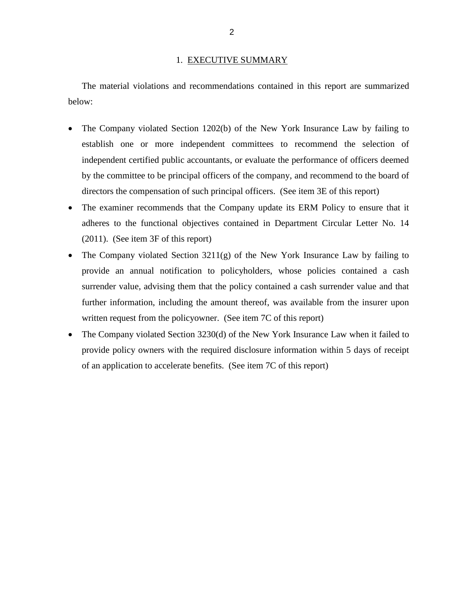#### 1. EXECUTIVE SUMMARY

<span id="page-4-0"></span>The material violations and recommendations contained in this report are summarized below:

- The Company violated Section 1202(b) of the New York Insurance Law by failing to establish one or more independent committees to recommend the selection of independent certified public accountants, or evaluate the performance of officers deemed by the committee to be principal officers of the company, and recommend to the board of directors the compensation of such principal officers. (See item 3E of this report)
- The examiner recommends that the Company update its ERM Policy to ensure that it adheres to the functional objectives contained in Department Circular Letter No. 14 (2011). (See item 3F of this report)
- The Company violated Section 3211(g) of the New York Insurance Law by failing to provide an annual notification to policyholders, whose policies contained a cash surrender value, advising them that the policy contained a cash surrender value and that further information, including the amount thereof, was available from the insurer upon written request from the policyowner. (See item 7C of this report)
- The Company violated Section 3230(d) of the New York Insurance Law when it failed to provide policy owners with the required disclosure information within 5 days of receipt of an application to accelerate benefits. (See item 7C of this report)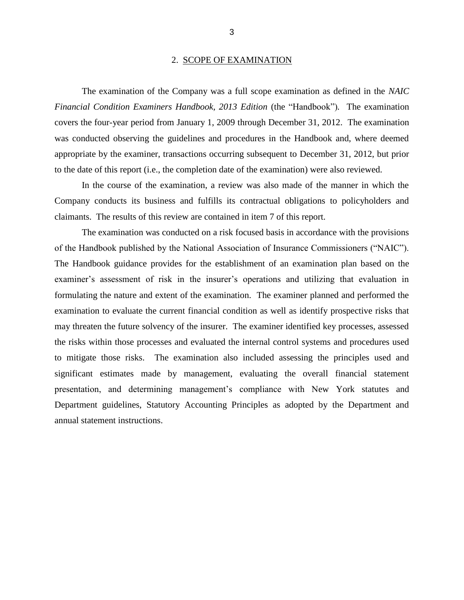#### 2. SCOPE OF EXAMINATION

<span id="page-5-0"></span> *Financial Condition Examiners Handbook, 2013 Edition* (the "Handbook")*.* The examination covers the four-year period from January 1, 2009 through December 31, 2012. The examination was conducted observing the guidelines and procedures in the Handbook and, where deemed The examination of the Company was a full scope examination as defined in the *NAIC*  appropriate by the examiner, transactions occurring subsequent to December 31, 2012, but prior to the date of this report (i.e., the completion date of the examination) were also reviewed.

 In the course of the examination, a review was also made of the manner in which the Company conducts its business and fulfills its contractual obligations to policyholders and claimants. The results of this review are contained in item 7 of this report.

 of the Handbook published by the National Association of Insurance Commissioners ("NAIC"). examiner's assessment of risk in the insurer's operations and utilizing that evaluation in formulating the nature and extent of the examination. The examiner planned and performed the examination to evaluate the current financial condition as well as identify prospective risks that may threaten the future solvency of the insurer. The examiner identified key processes, assessed to mitigate those risks. The examination also included assessing the principles used and significant estimates made by management, evaluating the overall financial statement Department guidelines, Statutory Accounting Principles as adopted by the Department and The examination was conducted on a risk focused basis in accordance with the provisions The Handbook guidance provides for the establishment of an examination plan based on the the risks within those processes and evaluated the internal control systems and procedures used presentation, and determining management's compliance with New York statutes and annual statement instructions.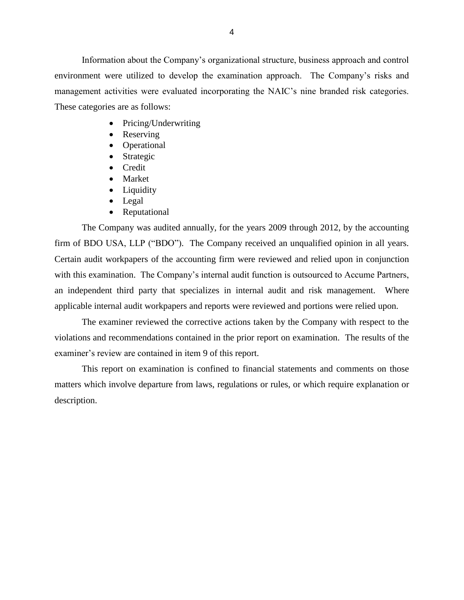environment were utilized to develop the examination approach. The Company's risks and management activities were evaluated incorporating the NAIC's nine branded risk categories. These categories are as follows: Information about the Company's organizational structure, business approach and control

- Pricing/Underwriting
- Reserving
- Operational
- Strategic
- Credit
- Market
- Liquidity
- Legal
- Reputational

 The Company was audited annually, for the years 2009 through 2012, by the accounting firm of BDO USA, LLP ("BDO"). The Company received an unqualified opinion in all years. Certain audit workpapers of the accounting firm were reviewed and relied upon in conjunction with this examination. The Company's internal audit function is outsourced to Accume Partners, an independent third party that specializes in internal audit and risk management. Where applicable internal audit workpapers and reports were reviewed and portions were relied upon.

 violations and recommendations contained in the prior report on examination. The results of the examiner's review are contained in item 9 of this report. The examiner reviewed the corrective actions taken by the Company with respect to the

 matters which involve departure from laws, regulations or rules, or which require explanation or This report on examination is confined to financial statements and comments on those description.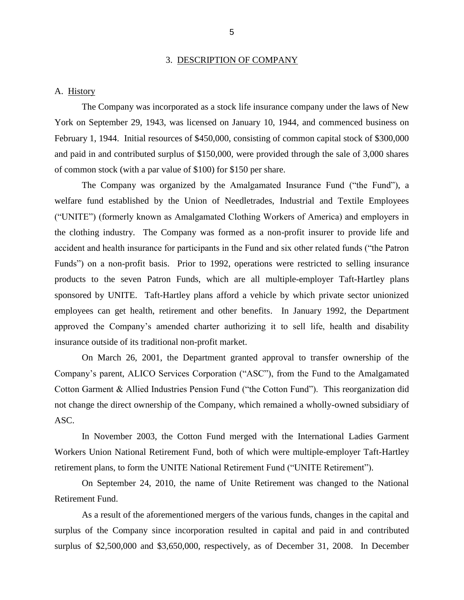#### 3. DESCRIPTION OF COMPANY

#### <span id="page-7-0"></span>A. History

 The Company was incorporated as a stock life insurance company under the laws of New York on September 29, 1943, was licensed on January 10, 1944, and commenced business on February 1, 1944. Initial resources of \$450,000, consisting of common capital stock of \$300,000 and paid in and contributed surplus of \$150,000, were provided through the sale of 3,000 shares of common stock (with a par value of \$100) for \$150 per share.

 The Company was organized by the Amalgamated Insurance Fund ("the Fund"), a ("UNITE") (formerly known as Amalgamated Clothing Workers of America) and employers in the clothing industry. The Company was formed as a non-profit insurer to provide life and accident and health insurance for participants in the Fund and six other related funds ("the Patron Funds") on a non-profit basis. Prior to 1992, operations were restricted to selling insurance products to the seven Patron Funds, which are all multiple-employer Taft-Hartley plans sponsored by UNITE. Taft-Hartley plans afford a vehicle by which private sector unionized employees can get health, retirement and other benefits. In January 1992, the Department approved the Company's amended charter authorizing it to sell life, health and disability welfare fund established by the Union of Needletrades, Industrial and Textile Employees insurance outside of its traditional non-profit market.

 On March 26, 2001, the Department granted approval to transfer ownership of the Company's parent, ALICO Services Corporation ("ASC"), from the Fund to the Amalgamated Cotton Garment & Allied Industries Pension Fund ("the Cotton Fund"). This reorganization did not change the direct ownership of the Company, which remained a wholly-owned subsidiary of ASC.

 Workers Union National Retirement Fund, both of which were multiple-employer Taft-Hartley In November 2003, the Cotton Fund merged with the International Ladies Garment retirement plans, to form the UNITE National Retirement Fund ("UNITE Retirement").

On September 24, 2010, the name of Unite Retirement was changed to the National Retirement Fund.

 As a result of the aforementioned mergers of the various funds, changes in the capital and surplus of the Company since incorporation resulted in capital and paid in and contributed surplus of \$2,500,000 and \$3,650,000, respectively, as of December 31, 2008. In December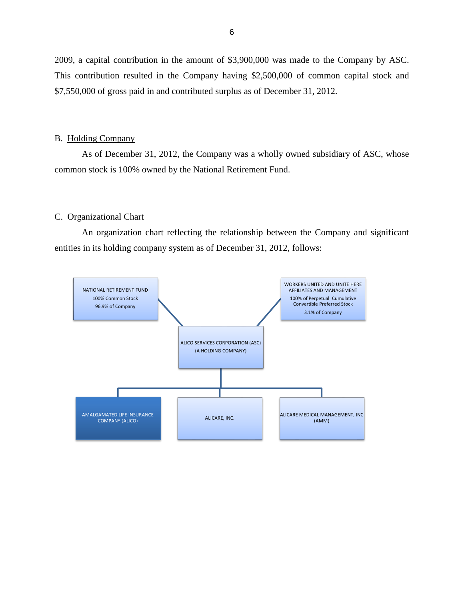<span id="page-8-0"></span> 2009, a capital contribution in the amount of \$3,900,000 was made to the Company by ASC. This contribution resulted in the Company having \$2,500,000 of common capital stock and \$7,550,000 of gross paid in and contributed surplus as of December 31, 2012.

#### B. Holding Company

 As of December 31, 2012, the Company was a wholly owned subsidiary of ASC, whose common stock is 100% owned by the National Retirement Fund.<br>C. <u>Organizational Chart</u>

 An organization chart reflecting the relationship between the Company and significant entities in its holding company system as of December 31, 2012, follows:

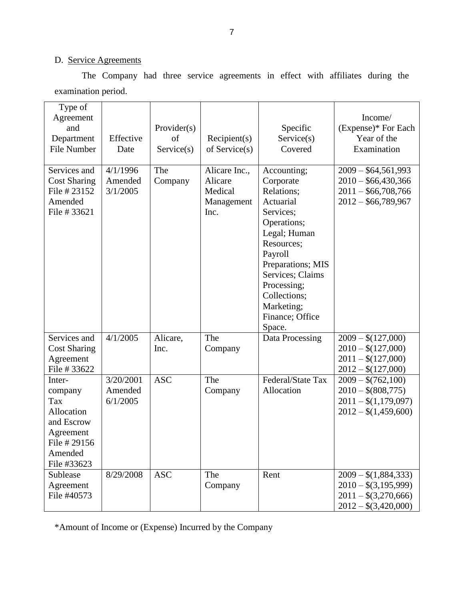#### D. Service Agreements

The Company had three service agreements in effect with affiliates during the examination period.

| Type of<br>Agreement<br>and<br>Department<br><b>File Number</b>                                             | Effective<br>Date                | Provider(s)<br>of<br>Service(s) | Recipient(s)<br>of Service $(s)$                          | Specific<br>Service(s)<br>Covered                                                                                                                                                                                                           | Income/<br>(Expense)* For Each<br>Year of the<br>Examination                                     |
|-------------------------------------------------------------------------------------------------------------|----------------------------------|---------------------------------|-----------------------------------------------------------|---------------------------------------------------------------------------------------------------------------------------------------------------------------------------------------------------------------------------------------------|--------------------------------------------------------------------------------------------------|
| Services and<br><b>Cost Sharing</b><br>File # 23152<br>Amended<br>File # 33621                              | 4/1/1996<br>Amended<br>3/1/2005  | The<br>Company                  | Alicare Inc.,<br>Alicare<br>Medical<br>Management<br>Inc. | Accounting;<br>Corporate<br>Relations;<br>Actuarial<br>Services;<br>Operations;<br>Legal; Human<br>Resources;<br>Payroll<br>Preparations; MIS<br>Services; Claims<br>Processing;<br>Collections;<br>Marketing;<br>Finance; Office<br>Space. | $2009 - $64,561,993$<br>$2010 - $66,430,366$<br>$2011 - $66,708,766$<br>$2012 - $66,789,967$     |
| Services and<br><b>Cost Sharing</b><br>Agreement<br>File # 33622                                            | 4/1/2005                         | Alicare,<br>Inc.                | The<br>Company                                            | Data Processing                                                                                                                                                                                                                             | $2009 - $(127,000)$<br>$2010 - $(127,000)$<br>$2011 - $(127,000)$<br>$2012 - $(127,000)$         |
| Inter-<br>company<br>Tax<br>Allocation<br>and Escrow<br>Agreement<br>File # 29156<br>Amended<br>File #33623 | 3/20/2001<br>Amended<br>6/1/2005 | <b>ASC</b>                      | The<br>Company                                            | Federal/State Tax<br>Allocation                                                                                                                                                                                                             | $2009 - $(762,100)$<br>$2010 - $(808,775)$<br>$2011 - $(1,179,097)$<br>$2012 - $(1,459,600)$     |
| Sublease<br>Agreement<br>File #40573                                                                        | 8/29/2008                        | <b>ASC</b>                      | The<br>Company                                            | Rent                                                                                                                                                                                                                                        | $2009 - $(1,884,333)$<br>$2010 - $(3,195,999)$<br>$2011 - $(3,270,666)$<br>$2012 - $(3,420,000)$ |

\*Amount of Income or (Expense) Incurred by the Company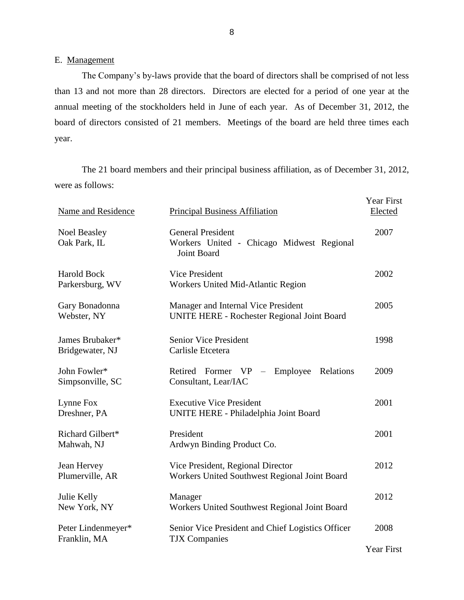E. Management

 The Company's by-laws provide that the board of directors shall be comprised of not less than 13 and not more than 28 directors. Directors are elected for a period of one year at the annual meeting of the stockholders held in June of each year. As of December 31, 2012, the board of directors consisted of 21 members. Meetings of the board are held three times each year.

 were as follows: The 21 board members and their principal business affiliation, as of December 31, 2012,

| Name and Residence                    | <b>Principal Business Affiliation</b>                                                | <b>Year First</b><br>Elected |
|---------------------------------------|--------------------------------------------------------------------------------------|------------------------------|
| <b>Noel Beasley</b><br>Oak Park, IL   | <b>General President</b><br>Workers United - Chicago Midwest Regional<br>Joint Board | 2007                         |
| <b>Harold Bock</b><br>Parkersburg, WV | <b>Vice President</b><br>Workers United Mid-Atlantic Region                          | 2002                         |
| Gary Bonadonna<br>Webster, NY         | Manager and Internal Vice President<br>UNITE HERE - Rochester Regional Joint Board   | 2005                         |
| James Brubaker*<br>Bridgewater, NJ    | <b>Senior Vice President</b><br>Carlisle Etcetera                                    | 1998                         |
| John Fowler*<br>Simpsonville, SC      | Retired Former VP - Employee Relations<br>Consultant, Lear/IAC                       | 2009                         |
| Lynne Fox<br>Dreshner, PA             | <b>Executive Vice President</b><br>UNITE HERE - Philadelphia Joint Board             | 2001                         |
| Richard Gilbert*<br>Mahwah, NJ        | President<br>Ardwyn Binding Product Co.                                              | 2001                         |
| Jean Hervey<br>Plumerville, AR        | Vice President, Regional Director<br>Workers United Southwest Regional Joint Board   | 2012                         |
| Julie Kelly<br>New York, NY           | Manager<br>Workers United Southwest Regional Joint Board                             | 2012                         |
| Peter Lindenmeyer*<br>Franklin, MA    | Senior Vice President and Chief Logistics Officer<br><b>TJX</b> Companies            | 2008<br>Year First           |
|                                       |                                                                                      |                              |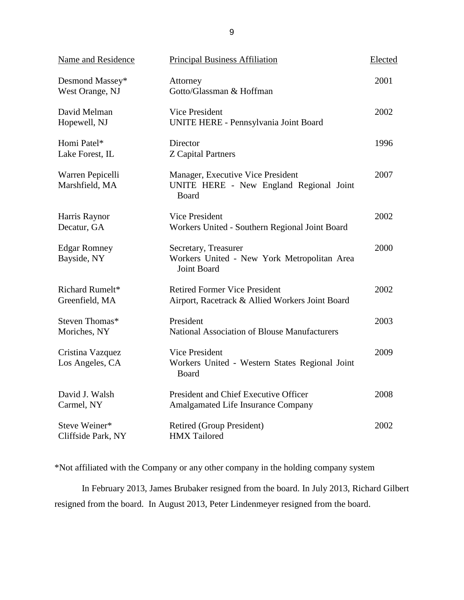| <b>Name and Residence</b>           | <b>Principal Business Affiliation</b>                                                        | Elected |
|-------------------------------------|----------------------------------------------------------------------------------------------|---------|
| Desmond Massey*<br>West Orange, NJ  | Attorney<br>Gotto/Glassman & Hoffman                                                         | 2001    |
| David Melman<br>Hopewell, NJ        | Vice President<br>UNITE HERE - Pennsylvania Joint Board                                      | 2002    |
| Homi Patel*<br>Lake Forest, IL      | Director<br><b>Z</b> Capital Partners                                                        | 1996    |
| Warren Pepicelli<br>Marshfield, MA  | Manager, Executive Vice President<br>UNITE HERE - New England Regional Joint<br><b>Board</b> | 2007    |
| Harris Raynor<br>Decatur, GA        | <b>Vice President</b><br>Workers United - Southern Regional Joint Board                      | 2002    |
| <b>Edgar Romney</b><br>Bayside, NY  | Secretary, Treasurer<br>Workers United - New York Metropolitan Area<br><b>Joint Board</b>    | 2000    |
| Richard Rumelt*<br>Greenfield, MA   | <b>Retired Former Vice President</b><br>Airport, Racetrack & Allied Workers Joint Board      | 2002    |
| Steven Thomas*<br>Moriches, NY      | President<br>National Association of Blouse Manufacturers                                    | 2003    |
| Cristina Vazquez<br>Los Angeles, CA | <b>Vice President</b><br>Workers United - Western States Regional Joint<br>Board             | 2009    |
| David J. Walsh<br>Carmel, NY        | President and Chief Executive Officer<br>Amalgamated Life Insurance Company                  | 2008    |
| Steve Weiner*<br>Cliffside Park, NY | Retired (Group President)<br><b>HMX</b> Tailored                                             | 2002    |

\*Not affiliated with the Company or any other company in the holding company system

 In February 2013, James Brubaker resigned from the board. In July 2013, Richard Gilbert resigned from the board. In August 2013, Peter Lindenmeyer resigned from the board.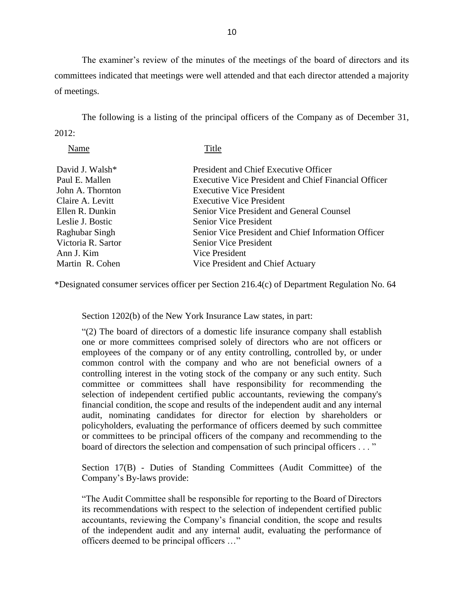The examiner's review of the minutes of the meetings of the board of directors and its committees indicated that meetings were well attended and that each director attended a majority of meetings.

The following is a listing of the principal officers of the Company as of December 31,  $2012:$ 

Name Title

| David J. Walsh*<br>Paul E. Mallen    | <b>President and Chief Executive Officer</b><br><b>Executive Vice President and Chief Financial Officer</b> |
|--------------------------------------|-------------------------------------------------------------------------------------------------------------|
| John A. Thornton<br>Claire A. Levitt | <b>Executive Vice President</b><br><b>Executive Vice President</b>                                          |
| Ellen R. Dunkin                      | Senior Vice President and General Counsel                                                                   |
| Leslie J. Bostic                     | <b>Senior Vice President</b>                                                                                |
| Raghubar Singh                       | Senior Vice President and Chief Information Officer                                                         |
| Victoria R. Sartor                   | Senior Vice President                                                                                       |
| Ann J. Kim                           | Vice President                                                                                              |
| Martin R. Cohen                      | Vice President and Chief Actuary                                                                            |

\*Designated consumer services officer per Section 216.4(c) of Department Regulation No. 64

Section 1202(b) of the New York Insurance Law states, in part:

 "(2) The board of directors of a domestic life insurance company shall establish one or more committees comprised solely of directors who are not officers or employees of the company or of any entity controlling, controlled by, or under common control with the company and who are not beneficial owners of a controlling interest in the voting stock of the company or any such entity. Such committee or committees shall have responsibility for recommending the policyholders, evaluating the performance of officers deemed by such committee selection of independent certified public accountants, reviewing the company's financial condition, the scope and results of the independent audit and any internal audit, nominating candidates for director for election by shareholders or or committees to be principal officers of the company and recommending to the board of directors the selection and compensation of such principal officers . . . "

Section 17(B) - Duties of Standing Committees (Audit Committee) of the Company's By-laws provide:

 "The Audit Committee shall be responsible for reporting to the Board of Directors its recommendations with respect to the selection of independent certified public of the independent audit and any internal audit, evaluating the performance of accountants, reviewing the Company's financial condition, the scope and results officers deemed to be principal officers …"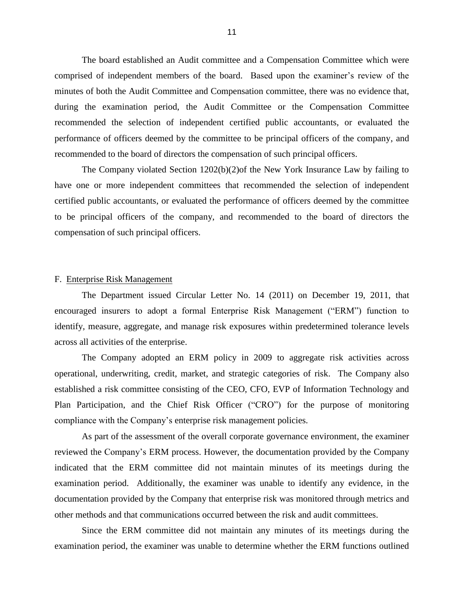<span id="page-13-0"></span> comprised of independent members of the board. Based upon the examiner's review of the minutes of both the Audit Committee and Compensation committee, there was no evidence that, during the examination period, the Audit Committee or the Compensation Committee recommended the selection of independent certified public accountants, or evaluated the performance of officers deemed by the committee to be principal officers of the company, and recommended to the board of directors the compensation of such principal officers. recommended to the board of directors the compensation of such principal officers. The Company violated Section 1202(b)(2)of the New York Insurance Law by failing to The board established an Audit committee and a Compensation Committee which were

 have one or more independent committees that recommended the selection of independent certified public accountants, or evaluated the performance of officers deemed by the committee to be principal officers of the company, and recommended to the board of directors the compensation of such principal officers.

#### F. Enterprise Risk Management

 The Department issued Circular Letter No. 14 (2011) on December 19, 2011, that identify, measure, aggregate, and manage risk exposures within predetermined tolerance levels encouraged insurers to adopt a formal Enterprise Risk Management ("ERM") function to across all activities of the enterprise.

 The Company adopted an ERM policy in 2009 to aggregate risk activities across operational, underwriting, credit, market, and strategic categories of risk. The Company also established a risk committee consisting of the CEO, CFO, EVP of Information Technology and Plan Participation, and the Chief Risk Officer ("CRO") for the purpose of monitoring compliance with the Company's enterprise risk management policies.

 As part of the assessment of the overall corporate governance environment, the examiner reviewed the Company's ERM process. However, the documentation provided by the Company indicated that the ERM committee did not maintain minutes of its meetings during the examination period. Additionally, the examiner was unable to identify any evidence, in the documentation provided by the Company that enterprise risk was monitored through metrics and other methods and that communications occurred between the risk and audit committees.

Since the ERM committee did not maintain any minutes of its meetings during the examination period, the examiner was unable to determine whether the ERM functions outlined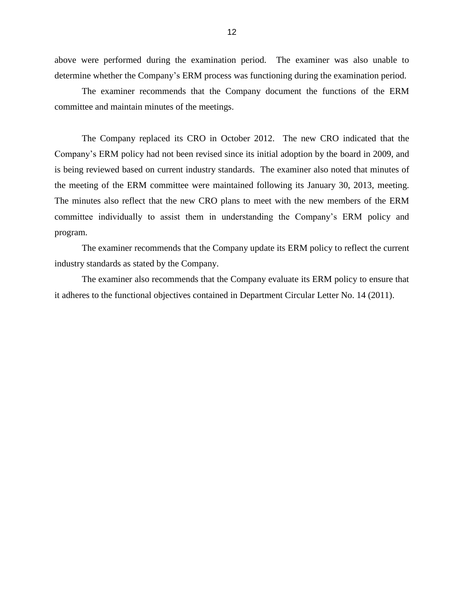above were performed during the examination period. The examiner was also unable to determine whether the Company's ERM process was functioning during the examination period.

 The examiner recommends that the Company document the functions of the ERM committee and maintain minutes of the meetings.

 The Company replaced its CRO in October 2012. The new CRO indicated that the is being reviewed based on current industry standards. The examiner also noted that minutes of the meeting of the ERM committee were maintained following its January 30, 2013, meeting. The minutes also reflect that the new CRO plans to meet with the new members of the ERM Company's ERM policy had not been revised since its initial adoption by the board in 2009, and committee individually to assist them in understanding the Company's ERM policy and program.

 The examiner recommends that the Company update its ERM policy to reflect the current industry standards as stated by the Company.

 The examiner also recommends that the Company evaluate its ERM policy to ensure that it adheres to the functional objectives contained in Department Circular Letter No. 14 (2011).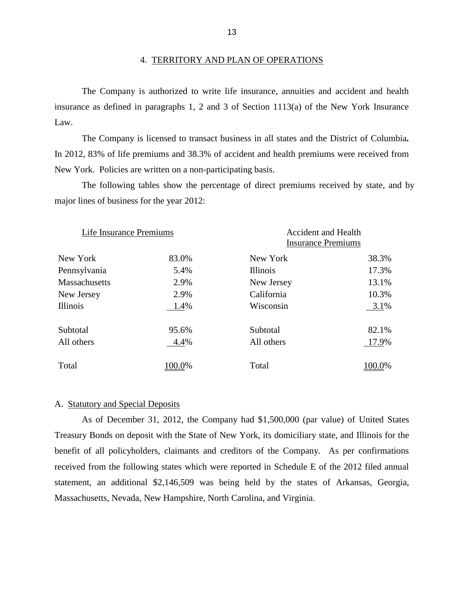#### 4. TERRITORY AND PLAN OF OPERATIONS

 insurance as defined in paragraphs 1, 2 and 3 of Section 1113(a) of the New York Insurance The Company is authorized to write life insurance, annuities and accident and health Law.

 In 2012, 83% of life premiums and 38.3% of accident and health premiums were received from The Company is licensed to transact business in all states and the District of Columbia*.*  New York. Policies are written on a non-participating basis.

The following tables show the percentage of direct premiums received by state, and by major lines of business for the year 2012:

| Life Insurance Premiums |        | <b>Accident and Health</b><br><b>Insurance Premiums</b> |        |  |
|-------------------------|--------|---------------------------------------------------------|--------|--|
| New York                | 83.0%  | New York                                                | 38.3%  |  |
| Pennsylvania            | 5.4%   | Illinois                                                | 17.3%  |  |
| <b>Massachusetts</b>    | 2.9%   | New Jersey                                              | 13.1%  |  |
| New Jersey              | 2.9%   | California                                              | 10.3%  |  |
| Illinois                | 1.4%   | Wisconsin                                               | 3.1%   |  |
| Subtotal                | 95.6%  | Subtotal                                                | 82.1%  |  |
| All others              | 4.4%   | All others                                              | 17.9%  |  |
| Total                   | 100.0% | Total                                                   | 100.0% |  |

#### A. Statutory and Special Deposits

 As of December 31, 2012, the Company had \$1,500,000 (par value) of United States Treasury Bonds on deposit with the State of New York, its domiciliary state, and Illinois for the benefit of all policyholders, claimants and creditors of the Company. As per confirmations received from the following states which were reported in Schedule E of the 2012 filed annual statement, an additional \$2,146,509 was being held by the states of Arkansas, Georgia, Massachusetts, Nevada, New Hampshire, North Carolina, and Virginia.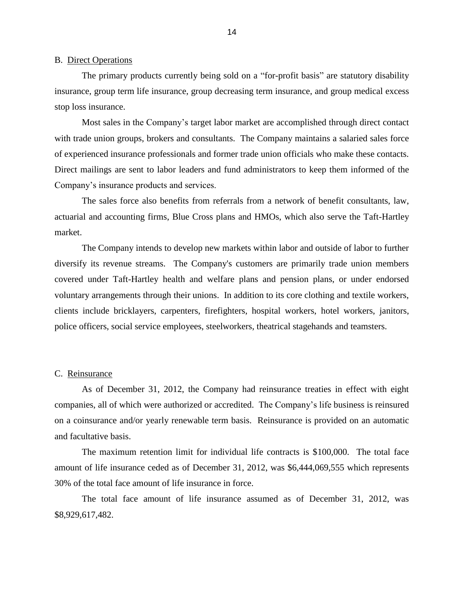#### <span id="page-16-0"></span>B. Direct Operations

 insurance, group term life insurance, group decreasing term insurance, and group medical excess The primary products currently being sold on a "for-profit basis" are statutory disability stop loss insurance.

 Most sales in the Company's target labor market are accomplished through direct contact with trade union groups, brokers and consultants. The Company maintains a salaried sales force of experienced insurance professionals and former trade union officials who make these contacts. Direct mailings are sent to labor leaders and fund administrators to keep them informed of the Company's insurance products and services.

 The sales force also benefits from referrals from a network of benefit consultants, law, actuarial and accounting firms, Blue Cross plans and HMOs, which also serve the Taft-Hartley market.

 diversify its revenue streams. The Company's customers are primarily trade union members covered under Taft-Hartley health and welfare plans and pension plans, or under endorsed voluntary arrangements through their unions. In addition to its core clothing and textile workers, police officers, social service employees, steelworkers, theatrical stagehands and teamsters. The Company intends to develop new markets within labor and outside of labor to further clients include bricklayers, carpenters, firefighters, hospital workers, hotel workers, janitors,

#### C. Reinsurance

 on a coinsurance and/or yearly renewable term basis. Reinsurance is provided on an automatic As of December 31, 2012, the Company had reinsurance treaties in effect with eight companies, all of which were authorized or accredited. The Company's life business is reinsured and facultative basis.

 amount of life insurance ceded as of December 31, 2012, was \$6,444,069,555 which represents The maximum retention limit for individual life contracts is \$100,000. The total face 30% of the total face amount of life insurance in force.

The total face amount of life insurance assumed as of December 31, 2012, was \$8,929,617,482.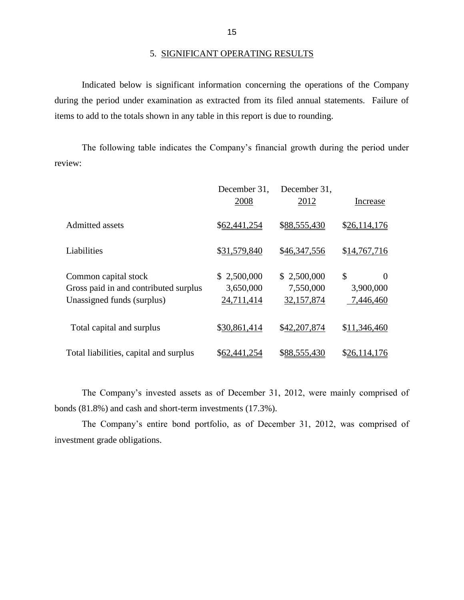during the period under examination as extracted from its filed annual statements. Failure of Indicated below is significant information concerning the operations of the Company items to add to the totals shown in any table in this report is due to rounding.

 The following table indicates the Company's financial growth during the period under review:

|                                                                                             | December 31,<br>2008                   | December 31,<br>2012                   | Increase                                 |
|---------------------------------------------------------------------------------------------|----------------------------------------|----------------------------------------|------------------------------------------|
| <b>Admitted</b> assets                                                                      | \$62,441,254                           | \$88,555,430                           | \$26,114,176                             |
| Liabilities                                                                                 | \$31,579,840                           | \$46,347,556                           | \$14,767,716                             |
| Common capital stock<br>Gross paid in and contributed surplus<br>Unassigned funds (surplus) | \$2,500,000<br>3,650,000<br>24,711,414 | \$2,500,000<br>7,550,000<br>32,157,874 | \$<br>$\Omega$<br>3,900,000<br>7,446,460 |
| Total capital and surplus                                                                   | \$30,861,414                           | \$42,207,874                           | \$11,346,460                             |
| Total liabilities, capital and surplus                                                      | \$62,441,254                           | \$88,555,430                           | \$26,114,176                             |

 The Company's invested assets as of December 31, 2012, were mainly comprised of bonds (81.8%) and cash and short-term investments (17.3%).

The Company's entire bond portfolio, as of December 31, 2012, was comprised of investment grade obligations.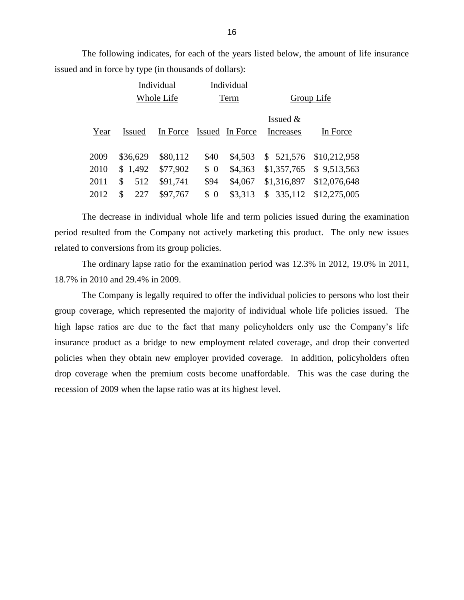The following indicates, for each of the years listed below, the amount of life insurance issued and in force by type (in thousands of dollars):

|              |                        | Individual           |             | Individual         |                                |                              |  |
|--------------|------------------------|----------------------|-------------|--------------------|--------------------------------|------------------------------|--|
|              |                        | Whole Life           |             | Term               |                                | Group Life                   |  |
| Year         | <b>Issued</b>          | In Force             |             | Issued In Force    | Issued $&$<br><b>Increases</b> | In Force                     |  |
| 2009<br>2010 | \$36,629<br>\$1,492    | \$80,112<br>\$77,902 | \$40<br>\$0 | \$4,503<br>\$4,363 | \$521,576<br>\$1,357,765       | \$10,212,958<br>\$9,513,563  |  |
| 2011<br>2012 | \$<br>512<br>\$<br>227 | \$91,741<br>\$97,767 | \$94<br>\$0 | \$4,067<br>\$3,313 | \$1,316,897<br>335,112<br>\$   | \$12,076,648<br>\$12,275,005 |  |

 The decrease in individual whole life and term policies issued during the examination period resulted from the Company not actively marketing this product. The only new issues related to conversions from its group policies.

 The ordinary lapse ratio for the examination period was 12.3% in 2012, 19.0% in 2011, 18.7% in 2010 and 29.4% in 2009.

 The Company is legally required to offer the individual policies to persons who lost their group coverage, which represented the majority of individual whole life policies issued. The high lapse ratios are due to the fact that many policyholders only use the Company's life insurance product as a bridge to new employment related coverage, and drop their converted policies when they obtain new employer provided coverage. In addition, policyholders often drop coverage when the premium costs become unaffordable. This was the case during the recession of 2009 when the lapse ratio was at its highest level.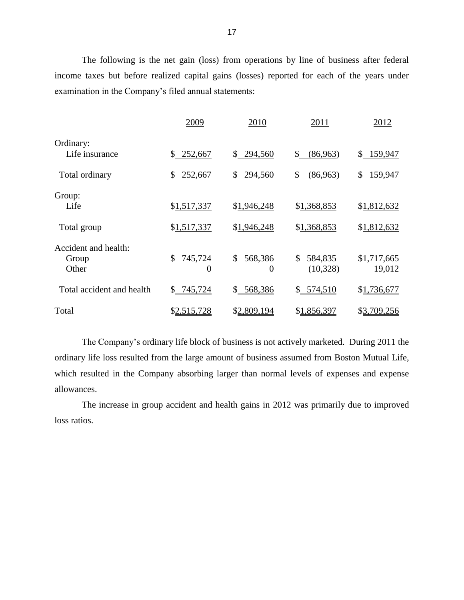The following is the net gain (loss) from operations by line of business after federal income taxes but before realized capital gains (losses) reported for each of the years under examination in the Company's filed annual statements:

|                                        | 2009                      | 2010                      | 2011                       | 2012                  |
|----------------------------------------|---------------------------|---------------------------|----------------------------|-----------------------|
| Ordinary:<br>Life insurance            | \$252,667                 | \$294,560                 | (86,963)<br>\$             | \$159,947             |
| Total ordinary                         | 252,667<br>\$             | \$294,560                 | \$<br>(86,963)             | \$159,947             |
| Group:<br>Life                         | \$1,517,337               | \$1,946,248               | \$1,368,853                | \$1,812,632           |
| Total group                            | \$1,517,337               | \$1,946,248               | \$1,368,853                | \$1,812,632           |
| Accident and health:<br>Group<br>Other | \$<br>745,724<br>$\theta$ | \$<br>568,386<br>$\Omega$ | \$<br>584,835<br>(10, 328) | \$1,717,665<br>19,012 |
| Total accident and health              | 745,724<br>\$             | 568,386<br>\$             | \$574,510                  | \$1,736,677           |
| Total                                  | \$2,515,728               | \$2,809,194               | \$1,856,397                | \$3,709,256           |

 ordinary life loss resulted from the large amount of business assumed from Boston Mutual Life, which resulted in the Company absorbing larger than normal levels of expenses and expense The Company's ordinary life block of business is not actively marketed. During 2011 the allowances.

The increase in group accident and health gains in 2012 was primarily due to improved loss ratios.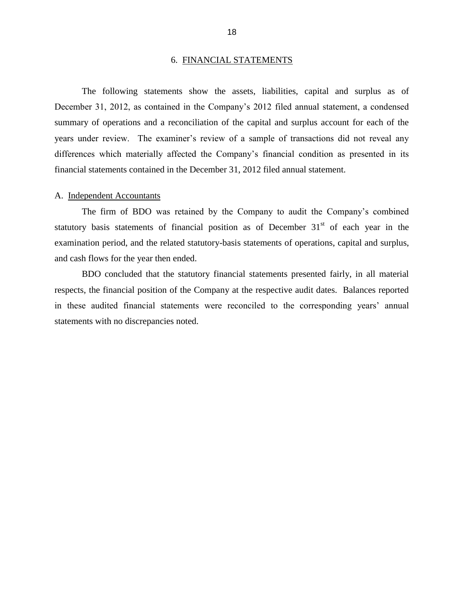#### 6. FINANCIAL STATEMENTS

<span id="page-20-0"></span> December 31, 2012, as contained in the Company's 2012 filed annual statement, a condensed summary of operations and a reconciliation of the capital and surplus account for each of the years under review. The examiner's review of a sample of transactions did not reveal any The following statements show the assets, liabilities, capital and surplus as of differences which materially affected the Company's financial condition as presented in its financial statements contained in the December 31, 2012 filed annual statement.

#### A. Independent Accountants

statutory basis statements of financial position as of December  $31<sup>st</sup>$  of each year in the The firm of BDO was retained by the Company to audit the Company's combined examination period, and the related statutory-basis statements of operations, capital and surplus, and cash flows for the year then ended.

 respects, the financial position of the Company at the respective audit dates. Balances reported in these audited financial statements were reconciled to the corresponding years' annual BDO concluded that the statutory financial statements presented fairly, in all material statements with no discrepancies noted.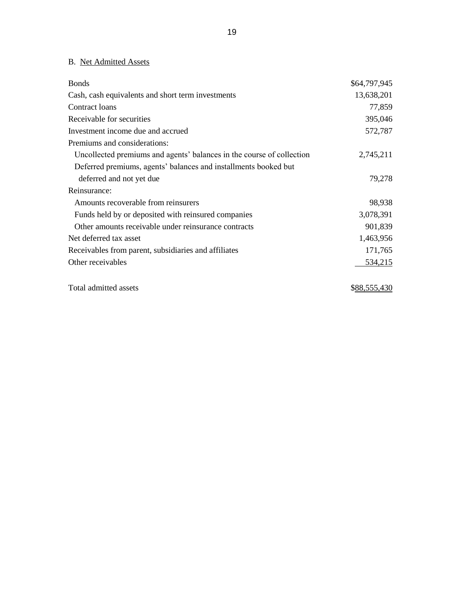### <span id="page-21-0"></span>B. Net Admitted Assets

| <b>Bonds</b>                                                          | \$64,797,945 |
|-----------------------------------------------------------------------|--------------|
| Cash, cash equivalents and short term investments                     | 13,638,201   |
| Contract loans                                                        | 77,859       |
| Receivable for securities                                             | 395,046      |
| Investment income due and accrued                                     | 572,787      |
| Premiums and considerations:                                          |              |
| Uncollected premiums and agents' balances in the course of collection | 2,745,211    |
| Deferred premiums, agents' balances and installments booked but       |              |
| deferred and not yet due                                              | 79,278       |
| Reinsurance:                                                          |              |
| Amounts recoverable from reinsurers                                   | 98,938       |
| Funds held by or deposited with reinsured companies                   | 3,078,391    |
| Other amounts receivable under reinsurance contracts                  | 901,839      |
| Net deferred tax asset                                                | 1,463,956    |
| Receivables from parent, subsidiaries and affiliates                  | 171,765      |
| Other receivables                                                     | 534,215      |
| Total admitted assets                                                 | \$88,555,430 |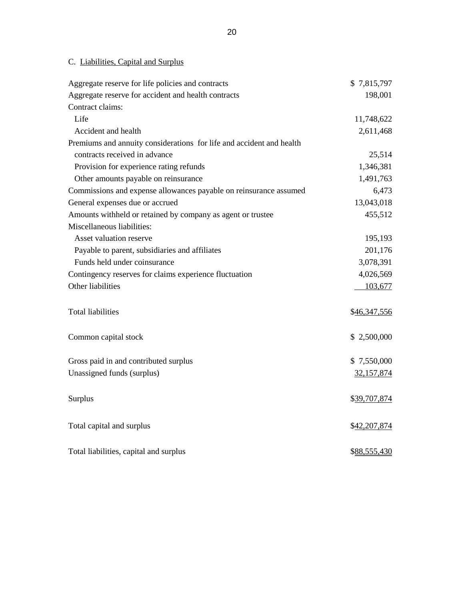### C. Liabilities, Capital and Surplus

| Aggregate reserve for life policies and contracts                    | \$7,815,797  |
|----------------------------------------------------------------------|--------------|
| Aggregate reserve for accident and health contracts                  | 198,001      |
| Contract claims:                                                     |              |
| Life                                                                 | 11,748,622   |
| Accident and health                                                  | 2,611,468    |
| Premiums and annuity considerations for life and accident and health |              |
| contracts received in advance                                        | 25,514       |
| Provision for experience rating refunds                              | 1,346,381    |
| Other amounts payable on reinsurance                                 | 1,491,763    |
| Commissions and expense allowances payable on reinsurance assumed    | 6,473        |
| General expenses due or accrued                                      | 13,043,018   |
| Amounts withheld or retained by company as agent or trustee          | 455,512      |
| Miscellaneous liabilities:                                           |              |
| Asset valuation reserve                                              | 195,193      |
| Payable to parent, subsidiaries and affiliates                       | 201,176      |
| Funds held under coinsurance                                         | 3,078,391    |
| Contingency reserves for claims experience fluctuation               | 4,026,569    |
| Other liabilities                                                    | 103,677      |
|                                                                      |              |
| <b>Total liabilities</b>                                             | \$46,347,556 |
|                                                                      |              |
| Common capital stock                                                 | \$2,500,000  |
| Gross paid in and contributed surplus                                | \$7,550,000  |
| Unassigned funds (surplus)                                           | 32,157,874   |
|                                                                      |              |
| Surplus                                                              | \$39,707,874 |
|                                                                      |              |
| Total capital and surplus                                            | \$42,207,874 |
|                                                                      |              |
| Total liabilities, capital and surplus                               | \$88,555,430 |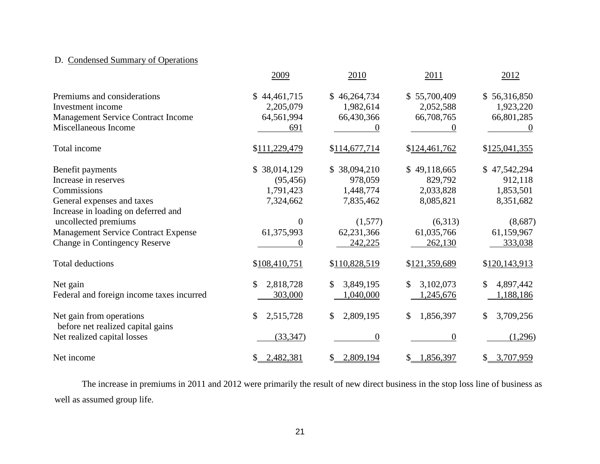### <span id="page-23-0"></span>D. Condensed Summary of Operations

|                                                               | 2009             | 2010            | 2011            | 2012            |
|---------------------------------------------------------------|------------------|-----------------|-----------------|-----------------|
| Premiums and considerations                                   | \$44,461,715     | \$46,264,734    | \$55,700,409    | \$56,316,850    |
| Investment income                                             | 2,205,079        | 1,982,614       | 2,052,588       | 1,923,220       |
| <b>Management Service Contract Income</b>                     | 64,561,994       | 66,430,366      | 66,708,765      | 66,801,285      |
| Miscellaneous Income                                          | 691              |                 |                 |                 |
| Total income                                                  | \$111,229,479    | \$114,677,714   | \$124,461,762   | \$125,041,355   |
| Benefit payments                                              | \$38,014,129     | \$38,094,210    | \$49,118,665    | \$47,542,294    |
| Increase in reserves                                          | (95, 456)        | 978,059         | 829,792         | 912,118         |
| Commissions                                                   | 1,791,423        | 1,448,774       | 2,033,828       | 1,853,501       |
| General expenses and taxes                                    | 7,324,662        | 7,835,462       | 8,085,821       | 8,351,682       |
| Increase in loading on deferred and                           |                  |                 |                 |                 |
| uncollected premiums                                          | $\boldsymbol{0}$ | (1,577)         | (6,313)         | (8,687)         |
| <b>Management Service Contract Expense</b>                    | 61,375,993       | 62,231,366      | 61,035,766      | 61,159,967      |
| <b>Change in Contingency Reserve</b>                          | $\theta$         | 242,225         | 262,130         | 333,038         |
| <b>Total deductions</b>                                       | \$108,410,751    | \$110,828,519   | \$121,359,689   | \$120,143,913   |
| Net gain                                                      | 2,818,728<br>\$  | \$<br>3,849,195 | 3,102,073<br>\$ | 4,897,442<br>\$ |
| Federal and foreign income taxes incurred                     | 303,000          | 1,040,000       | 1,245,676       | 1,188,186       |
| Net gain from operations<br>before net realized capital gains | 2,515,728<br>\$  | 2,809,195<br>\$ | 1,856,397<br>\$ | 3,709,256<br>\$ |
| Net realized capital losses                                   | (33, 347)        | $\overline{0}$  | $\overline{0}$  | (1,296)         |
| Net income                                                    | 2,482,381<br>\$  | 2,809,194<br>\$ | 1,856,397<br>\$ | \$3,707,959     |

The increase in premiums in 2011 and 2012 were primarily the result of new direct business in the stop loss line of business as well as assumed group life.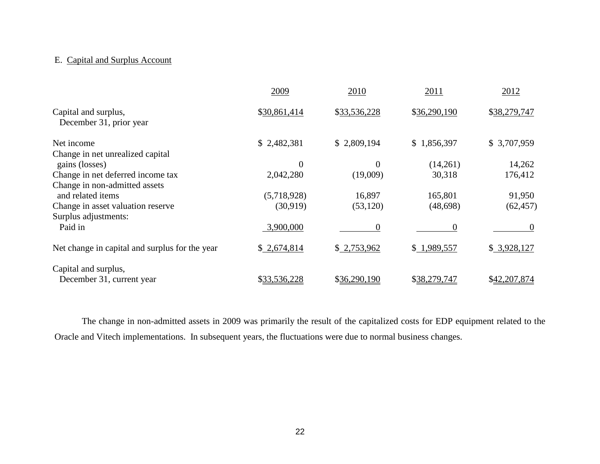#### E. Capital and Surplus Account

|                                                    | 2009           | 2010             | 2011         | 2012         |
|----------------------------------------------------|----------------|------------------|--------------|--------------|
| Capital and surplus,<br>December 31, prior year    | \$30,861,414   | \$33,536,228     | \$36,290,190 | \$38,279,747 |
| Net income                                         | \$2,482,381    | \$2,809,194      | \$1,856,397  | \$3,707,959  |
| Change in net unrealized capital<br>gains (losses) | $\overline{0}$ | $\boldsymbol{0}$ | (14,261)     | 14,262       |
| Change in net deferred income tax                  | 2,042,280      | (19,009)         | 30,318       | 176,412      |
| Change in non-admitted assets<br>and related items | (5,718,928)    | 16,897           | 165,801      | 91,950       |
| Change in asset valuation reserve                  | (30, 919)      | (53, 120)        | (48, 698)    | (62, 457)    |
| Surplus adjustments:<br>Paid in                    | 3,900,000      | 0                | $\theta$     |              |
| Net change in capital and surplus for the year     | \$2,674,814    | \$2,753,962      | \$1,989,557  | \$3,928,127  |
| Capital and surplus,                               |                |                  |              |              |
| December 31, current year                          | \$33,536,228   | \$36,290,190     | \$38,279,747 | \$42,207,874 |

 The change in non-admitted assets in 2009 was primarily the result of the capitalized costs for EDP equipment related to the Oracle and Vitech implementations. In subsequent years, the fluctuations were due to normal business changes.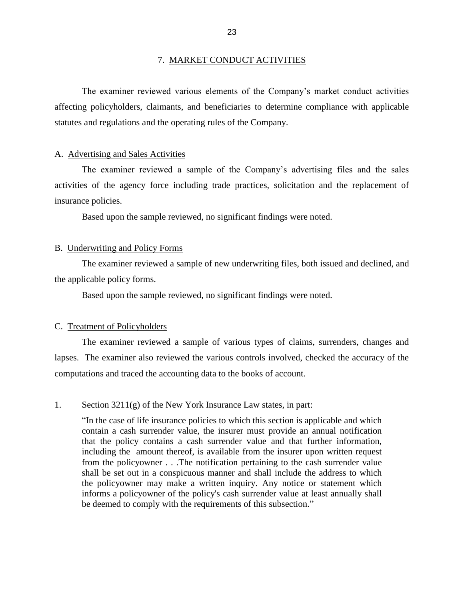#### 7. MARKET CONDUCT ACTIVITIES

<span id="page-25-0"></span> affecting policyholders, claimants, and beneficiaries to determine compliance with applicable The examiner reviewed various elements of the Company's market conduct activities statutes and regulations and the operating rules of the Company.

#### A. Advertising and Sales Activities

 The examiner reviewed a sample of the Company's advertising files and the sales activities of the agency force including trade practices, solicitation and the replacement of insurance policies.

Based upon the sample reviewed, no significant findings were noted.

#### B. Underwriting and Policy Forms

The examiner reviewed a sample of new underwriting files, both issued and declined, and the applicable policy forms.

Based upon the sample reviewed, no significant findings were noted.

#### C. Treatment of Policyholders

 lapses. The examiner also reviewed the various controls involved, checked the accuracy of the The examiner reviewed a sample of various types of claims, surrenders, changes and computations and traced the accounting data to the books of account.

#### 1. Section 3211(g) of the New York Insurance Law states, in part:

 contain a cash surrender value, the insurer must provide an annual notification that the policy contains a cash surrender value and that further information, including the amount thereof, is available from the insurer upon written request from the policyowner . . .The notification pertaining to the cash surrender value shall be set out in a conspicuous manner and shall include the address to which the policyowner may make a written inquiry. Any notice or statement which informs a policyowner of the policy's cash surrender value at least annually shall be deemed to comply with the requirements of this subsection.""In the case of life insurance policies to which this section is applicable and which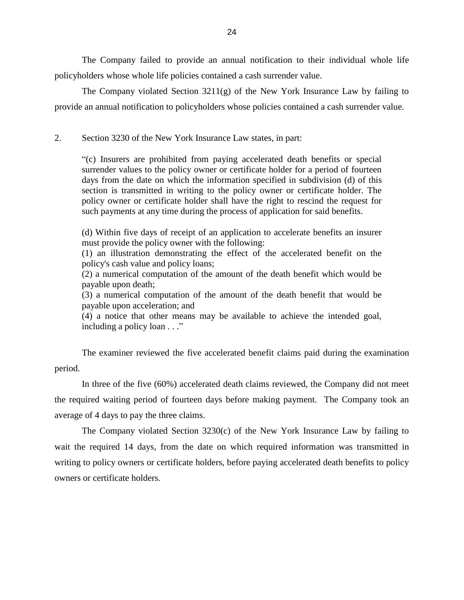<span id="page-26-0"></span> The Company failed to provide an annual notification to their individual whole life policyholders whose whole life policies contained a cash surrender value.

 The Company violated Section 3211(g) of the New York Insurance Law by failing to provide an annual notification to policyholders whose policies contained a cash surrender value.

Section 3230 of the New York Insurance Law states, in part:

 2. Section 3230 of the New York Insurance Law states, in part: "(c) Insurers are prohibited from paying accelerated death benefits or special surrender values to the policy owner or certificate holder for a period of fourteen days from the date on which the information specified in subdivision (d) of this section is transmitted in writing to the policy owner or certificate holder. The policy owner or certificate holder shall have the right to rescind the request for such payments at any time during the process of application for said benefits.

 (d) Within five days of receipt of an application to accelerate benefits an insurer must provide the policy owner with the following:

(1) an illustration demonstrating the effect of the accelerated benefit on the policy's cash value and policy loans;

 (2) a numerical computation of the amount of the death benefit which would be payable upon death;

 (3) a numerical computation of the amount of the death benefit that would be payable upon acceleration; and

 (4) a notice that other means may be available to achieve the intended goal, including a policy loan . . ."

The examiner reviewed the five accelerated benefit claims paid during the examination period.

 the required waiting period of fourteen days before making payment. The Company took an In three of the five (60%) accelerated death claims reviewed, the Company did not meet average of 4 days to pay the three claims.

 The Company violated Section 3230(c) of the New York Insurance Law by failing to writing to policy owners or certificate holders, before paying accelerated death benefits to policy wait the required 14 days, from the date on which required information was transmitted in owners or certificate holders.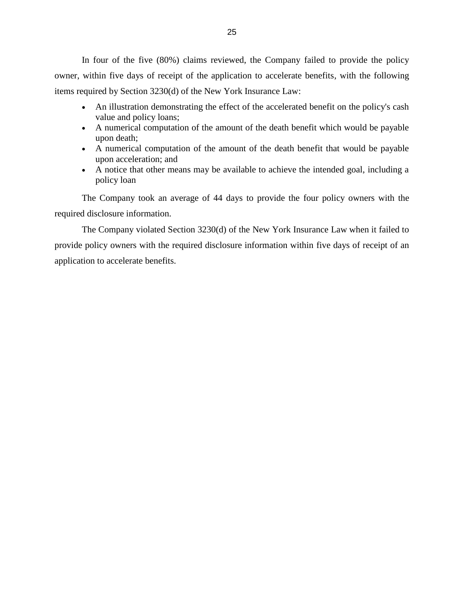In four of the five (80%) claims reviewed, the Company failed to provide the policy owner, within five days of receipt of the application to accelerate benefits, with the following items required by Section 3230(d) of the New York Insurance Law:

- An illustration demonstrating the effect of the accelerated benefit on the policy's cash value and policy loans;
- A numerical computation of the amount of the death benefit which would be payable upon death;
- A numerical computation of the amount of the death benefit that would be payable upon acceleration; and
- A notice that other means may be available to achieve the intended goal, including a policy loan

The Company took an average of 44 days to provide the four policy owners with the required disclosure information.

 The Company violated Section 3230(d) of the New York Insurance Law when it failed to provide policy owners with the required disclosure information within five days of receipt of an application to accelerate benefits.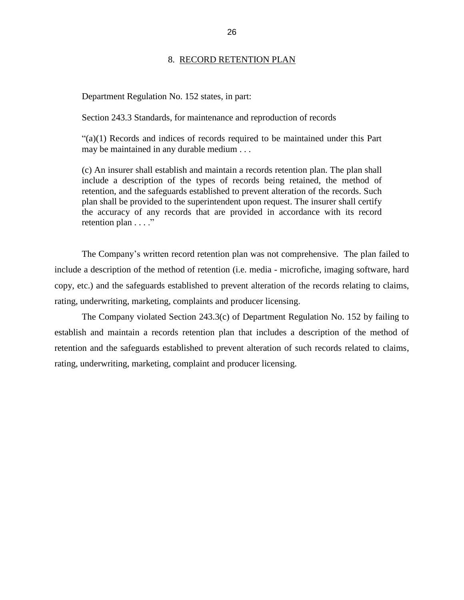#### 8. RECORD RETENTION PLAN

<span id="page-28-0"></span>Department Regulation No. 152 states, in part:

Section 243.3 Standards, for maintenance and reproduction of records

 "(a)(1) Records and indices of records required to be maintained under this Part may be maintained in any durable medium . . .

 include a description of the types of records being retained, the method of the accuracy of any records that are provided in accordance with its record retention plan . . . ." (c) An insurer shall establish and maintain a records retention plan. The plan shall retention, and the safeguards established to prevent alteration of the records. Such plan shall be provided to the superintendent upon request. The insurer shall certify

 include a description of the method of retention (i.e. media - microfiche, imaging software, hard copy, etc.) and the safeguards established to prevent alteration of the records relating to claims, The Company's written record retention plan was not comprehensive. The plan failed to rating, underwriting, marketing, complaints and producer licensing.

 retention and the safeguards established to prevent alteration of such records related to claims, rating, underwriting, marketing, complaint and producer licensing. The Company violated Section 243.3(c) of Department Regulation No. 152 by failing to establish and maintain a records retention plan that includes a description of the method of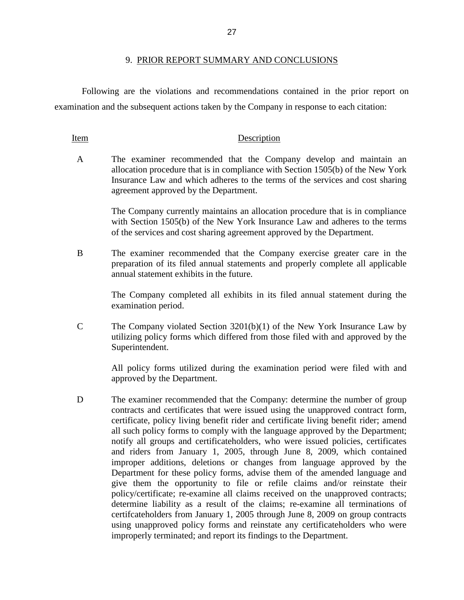<span id="page-29-0"></span> Following are the violations and recommendations contained in the prior report on examination and the subsequent actions taken by the Company in response to each citation:

#### Item Description

 A The examiner recommended that the Company develop and maintain an allocation procedure that is in compliance with Section 1505(b) of the New York Insurance Law and which adheres to the terms of the services and cost sharing agreement approved by the Department.

> The Company currently maintains an allocation procedure that is in compliance with Section 1505(b) of the New York Insurance Law and adheres to the terms of the services and cost sharing agreement approved by the Department.

 B The examiner recommended that the Company exercise greater care in the preparation of its filed annual statements and properly complete all applicable annual statement exhibits in the future.

> The Company completed all exhibits in its filed annual statement during the examination period.

 C The Company violated Section 3201(b)(1) of the New York Insurance Law by utilizing policy forms which differed from those filed with and approved by the Superintendent.

> All policy forms utilized during the examination period were filed with and approved by the Department.

D The examiner recommended that the Company: determine the number of group contracts and certificates that were issued using the unapproved contract form, certificate, policy living benefit rider and certificate living benefit rider; amend all such policy forms to comply with the language approved by the Department; notify all groups and certificateholders, who were issued policies, certificates and riders from January 1, 2005, through June 8, 2009, which contained improper additions, deletions or changes from language approved by the Department for these policy forms, advise them of the amended language and give them the opportunity to file or refile claims and/or reinstate their policy/certificate; re-examine all claims received on the unapproved contracts; determine liability as a result of the claims; re-examine all terminations of certifcateholders from January 1, 2005 through June 8, 2009 on group contracts using unapproved policy forms and reinstate any certificateholders who were improperly terminated; and report its findings to the Department.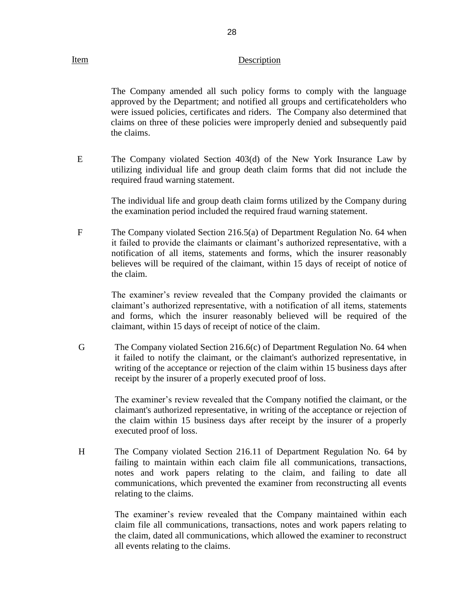#### Item Description

28

 The Company amended all such policy forms to comply with the language approved by the Department; and notified all groups and certificateholders who were issued policies, certificates and riders. The Company also determined that claims on three of these policies were improperly denied and subsequently paid the claims.

 E The Company violated Section 403(d) of the New York Insurance Law by utilizing individual life and group death claim forms that did not include the required fraud warning statement.

> The individual life and group death claim forms utilized by the Company during the examination period included the required fraud warning statement.

F The Company violated Section 216.5(a) of Department Regulation No. 64 when it failed to provide the claimants or claimant's authorized representative, with a notification of all items, statements and forms, which the insurer reasonably believes will be required of the claimant, within 15 days of receipt of notice of the claim.

> claimant's authorized representative, with a notification of all items, statements and forms, which the insurer reasonably believed will be required of the The examiner's review revealed that the Company provided the claimants or claimant, within 15 days of receipt of notice of the claim.

 writing of the acceptance or rejection of the claim within 15 business days after receipt by the insurer of a properly executed proof of loss. G The Company violated Section 216.6(c) of Department Regulation No. 64 when it failed to notify the claimant, or the claimant's authorized representative, in

> The examiner's review revealed that the Company notified the claimant, or the claimant's authorized representative, in writing of the acceptance or rejection of the claim within 15 business days after receipt by the insurer of a properly executed proof of loss.

 H The Company violated Section 216.11 of Department Regulation No. 64 by notes and work papers relating to the claim, and failing to date all communications, which prevented the examiner from reconstructing all events failing to maintain within each claim file all communications, transactions, relating to the claims.

> claim file all communications, transactions, notes and work papers relating to the claim, dated all communications, which allowed the examiner to reconstruct The examiner's review revealed that the Company maintained within each all events relating to the claims.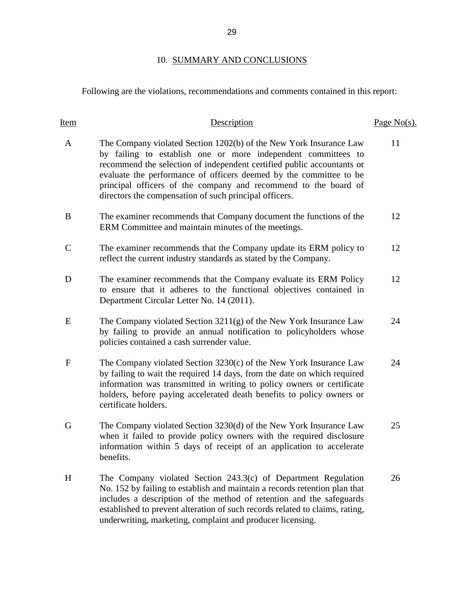### 10. SUMMARY AND CONCLUSIONS

### <span id="page-31-0"></span>Following are the violations, recommendations and comments contained in this report:

| Item         | Description                                                                                                                                                                                                                                                                                                                                                                                                      | Page $No(s)$ . |
|--------------|------------------------------------------------------------------------------------------------------------------------------------------------------------------------------------------------------------------------------------------------------------------------------------------------------------------------------------------------------------------------------------------------------------------|----------------|
| $\mathbf{A}$ | The Company violated Section 1202(b) of the New York Insurance Law<br>by failing to establish one or more independent committees to<br>recommend the selection of independent certified public accountants or<br>evaluate the performance of officers deemed by the committee to be<br>principal officers of the company and recommend to the board of<br>directors the compensation of such principal officers. | 11             |
| B            | The examiner recommends that Company document the functions of the<br>ERM Committee and maintain minutes of the meetings.                                                                                                                                                                                                                                                                                        | 12             |
| $\mathsf{C}$ | The examiner recommends that the Company update its ERM policy to<br>reflect the current industry standards as stated by the Company.                                                                                                                                                                                                                                                                            | 12             |
| D            | The examiner recommends that the Company evaluate its ERM Policy<br>to ensure that it adheres to the functional objectives contained in<br>Department Circular Letter No. 14 (2011).                                                                                                                                                                                                                             | 12             |
| E            | The Company violated Section 3211(g) of the New York Insurance Law<br>by failing to provide an annual notification to policyholders whose<br>policies contained a cash surrender value.                                                                                                                                                                                                                          | 24             |
| $\mathbf{F}$ | The Company violated Section 3230(c) of the New York Insurance Law<br>by failing to wait the required 14 days, from the date on which required<br>information was transmitted in writing to policy owners or certificate<br>holders, before paying accelerated death benefits to policy owners or<br>certificate holders.                                                                                        | 24             |
| G            | The Company violated Section 3230(d) of the New York Insurance Law<br>when it failed to provide policy owners with the required disclosure<br>information within 5 days of receipt of an application to accelerate<br>benefits.                                                                                                                                                                                  | 25             |
| H            | The Company violated Section 243.3(c) of Department Regulation<br>No. 152 by failing to establish and maintain a records retention plan that<br>includes a description of the method of retention and the safeguards<br>established to prevent alteration of such records related to claims, rating,<br>underwriting, marketing, complaint and producer licensing.                                               | 26             |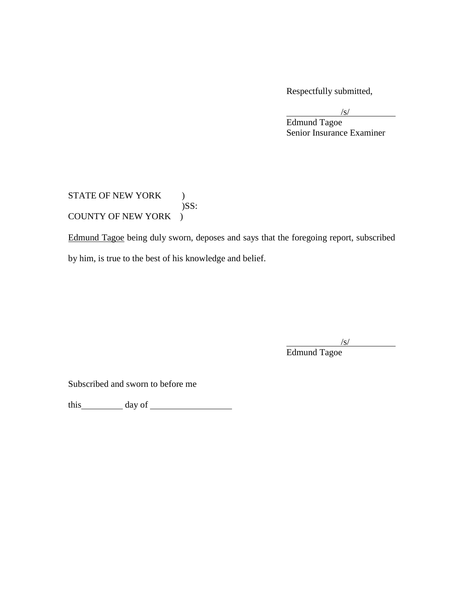Respectfully submitted,

 $\sqrt{s/}$ 

Edmund Tagoe Senior Insurance Examiner

COUNTY OF NEW YORK ) STATE OF NEW YORK )  $)$ SS:

COUNTY OF NEW YORK )<br>Edmund Tagoe being duly sworn, deposes and says that the foregoing report, subscribed by him, is true to the best of his knowledge and belief.

 $\sqrt{s/2}$ 

Edmund Tagoe

Subscribed and sworn to before me

this day of